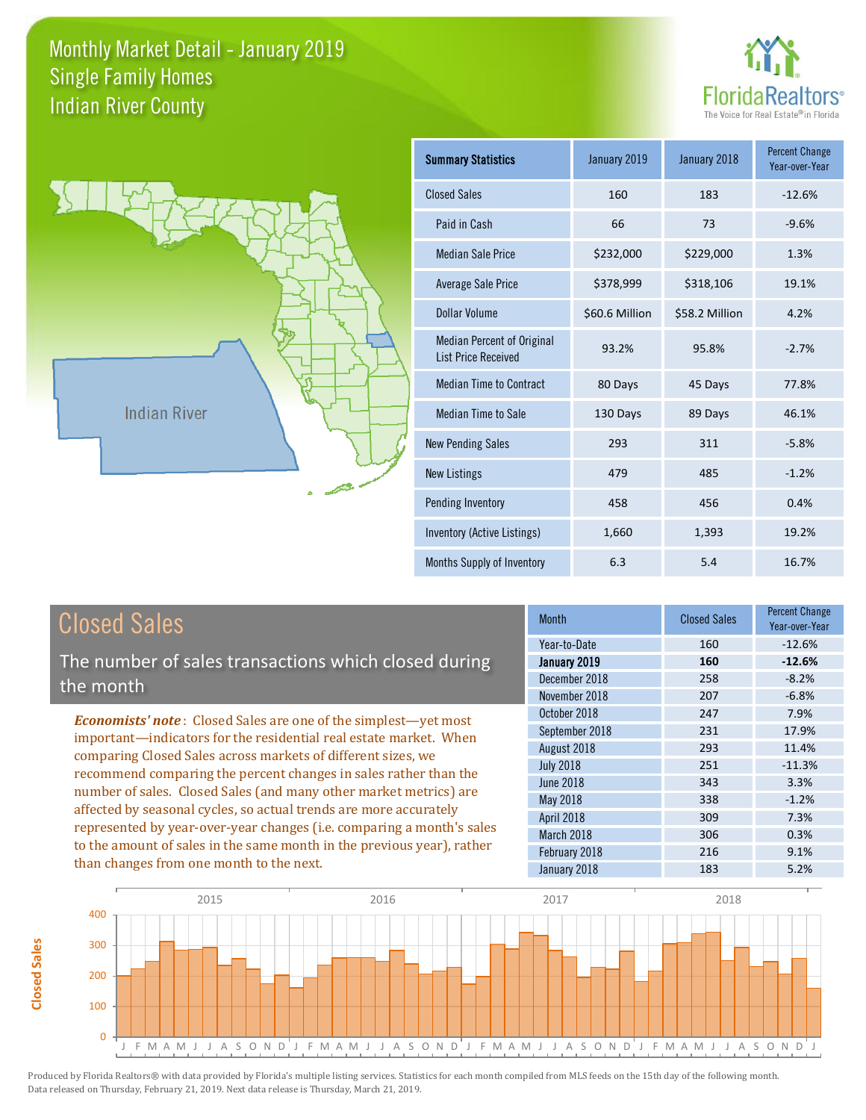



**Closed Sales**

**Closed Sales** 

| <b>Summary Statistics</b>                                       | January 2019   | January 2018   | <b>Percent Change</b><br>Year-over-Year |
|-----------------------------------------------------------------|----------------|----------------|-----------------------------------------|
| <b>Closed Sales</b>                                             | 160            | 183            | $-12.6%$                                |
| Paid in Cash                                                    | 66             | 73             | $-9.6%$                                 |
| <b>Median Sale Price</b>                                        | \$232,000      | \$229,000      | 1.3%                                    |
| <b>Average Sale Price</b>                                       | \$378,999      | \$318,106      | 19.1%                                   |
| Dollar Volume                                                   | \$60.6 Million | \$58.2 Million | 4.2%                                    |
| <b>Median Percent of Original</b><br><b>List Price Received</b> | 93.2%          | 95.8%          | $-2.7%$                                 |
| <b>Median Time to Contract</b>                                  | 80 Days        | 45 Days        | 77.8%                                   |
| <b>Median Time to Sale</b>                                      | 130 Days       | 89 Days        | 46.1%                                   |
| <b>New Pending Sales</b>                                        | 293            | 311            | $-5.8%$                                 |
| <b>New Listings</b>                                             | 479            | 485            | $-1.2%$                                 |
| Pending Inventory                                               | 458            | 456            | 0.4%                                    |
| Inventory (Active Listings)                                     | 1,660          | 1,393          | 19.2%                                   |
| Months Supply of Inventory                                      | 6.3            | 5.4            | 16.7%                                   |

| <b>Closed Sales</b>                                                    | <b>Month</b>      | <b>Closed Sales</b> | <b>Percent Change</b><br>Year-over-Year |
|------------------------------------------------------------------------|-------------------|---------------------|-----------------------------------------|
|                                                                        | Year-to-Date      | 160                 | $-12.6%$                                |
| The number of sales transactions which closed during                   | January 2019      | 160                 | $-12.6%$                                |
| the month                                                              | December 2018     | 258                 | $-8.2%$                                 |
|                                                                        | November 2018     | 207                 | $-6.8%$                                 |
| <b>Economists' note:</b> Closed Sales are one of the simplest—yet most | October 2018      | 247                 | 7.9%                                    |
| important-indicators for the residential real estate market. When      | September 2018    | 231                 | 17.9%                                   |
| comparing Closed Sales across markets of different sizes, we           | August 2018       | 293                 | 11.4%                                   |
| recommend comparing the percent changes in sales rather than the       | <b>July 2018</b>  | 251                 | $-11.3%$                                |
|                                                                        | <b>June 2018</b>  | 343                 | 3.3%                                    |
| number of sales. Closed Sales (and many other market metrics) are      | May 2018          | 338                 | $-1.2%$                                 |
| affected by seasonal cycles, so actual trends are more accurately      | <b>April 2018</b> | 309                 | 7.3%                                    |
| represented by year-over-year changes (i.e. comparing a month's sales  | March 2018        | 306                 | 0.3%                                    |
| to the amount of sales in the same month in the previous year), rather | February 2018     | 216                 | 9.1%                                    |
| than changes from one month to the next.                               | January 2018      | 183                 | 5.2%                                    |

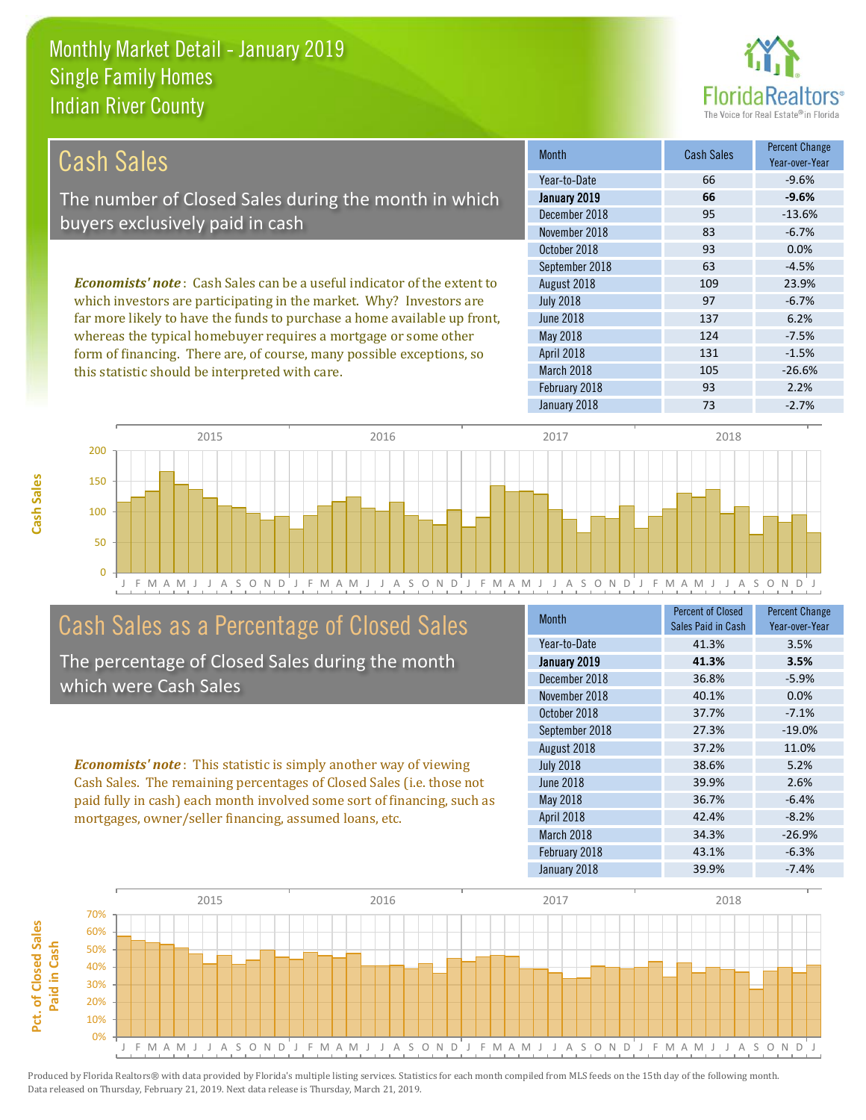this statistic should be interpreted with care.



105 -26.6%

| <b>Cash Sales</b>                                                               | <b>Month</b>      | Cash Sales | <b>Percent Change</b><br>Year-over-Year |
|---------------------------------------------------------------------------------|-------------------|------------|-----------------------------------------|
|                                                                                 | Year-to-Date      | 66         | $-9.6%$                                 |
| The number of Closed Sales during the month in which                            | January 2019      | 66         | $-9.6%$                                 |
| buyers exclusively paid in cash                                                 | December 2018     | 95         | $-13.6%$                                |
|                                                                                 | November 2018     | 83         | $-6.7%$                                 |
|                                                                                 | October 2018      | 93         | $0.0\%$                                 |
|                                                                                 | September 2018    | 63         | $-4.5%$                                 |
| <b>Economists' note</b> : Cash Sales can be a useful indicator of the extent to | August 2018       | 109        | 23.9%                                   |
| which investors are participating in the market. Why? Investors are             | <b>July 2018</b>  | 97         | $-6.7%$                                 |
| far more likely to have the funds to purchase a home available up front,        | <b>June 2018</b>  | 137        | 6.2%                                    |
| whereas the typical homebuyer requires a mortgage or some other                 | May 2018          | 124        | $-7.5%$                                 |
| form of financing. There are, of course, many possible exceptions, so           | <b>April 2018</b> | 131        | $-1.5%$                                 |



### Cash Sales as a Percentage of Closed Sales

The percentage of Closed Sales during the month which were Cash Sales

*Economists' note* : This statistic is simply another way of viewing Cash Sales. The remaining percentages of Closed Sales (i.e. those not paid fully in cash) each month involved some sort of financing, such as mortgages, owner/seller financing, assumed loans, etc.

| <b>Month</b>     | <b>Percent of Closed</b><br>Sales Paid in Cash | <b>Percent Change</b><br>Year-over-Year |
|------------------|------------------------------------------------|-----------------------------------------|
| Year-to-Date     | 41.3%                                          | 3.5%                                    |
| January 2019     | 41.3%                                          | 3.5%                                    |
| December 2018    | 36.8%                                          | $-5.9%$                                 |
| November 2018    | 40.1%                                          | 0.0%                                    |
| October 2018     | 37.7%                                          | $-7.1%$                                 |
| September 2018   | 27.3%                                          | $-19.0%$                                |
| August 2018      | 37.2%                                          | 11.0%                                   |
| <b>July 2018</b> | 38.6%                                          | 5.2%                                    |
| <b>June 2018</b> | 39.9%                                          | 2.6%                                    |
| May 2018         | 36.7%                                          | $-6.4%$                                 |
| April 2018       | 42.4%                                          | $-8.2%$                                 |
| March 2018       | 34.3%                                          | $-26.9%$                                |
| February 2018    | 43.1%                                          | $-6.3%$                                 |
| January 2018     | 39.9%                                          | $-7.4%$                                 |

January 2018 **73** -2.7%

February 2018 **93 2.2%** 

March 2018

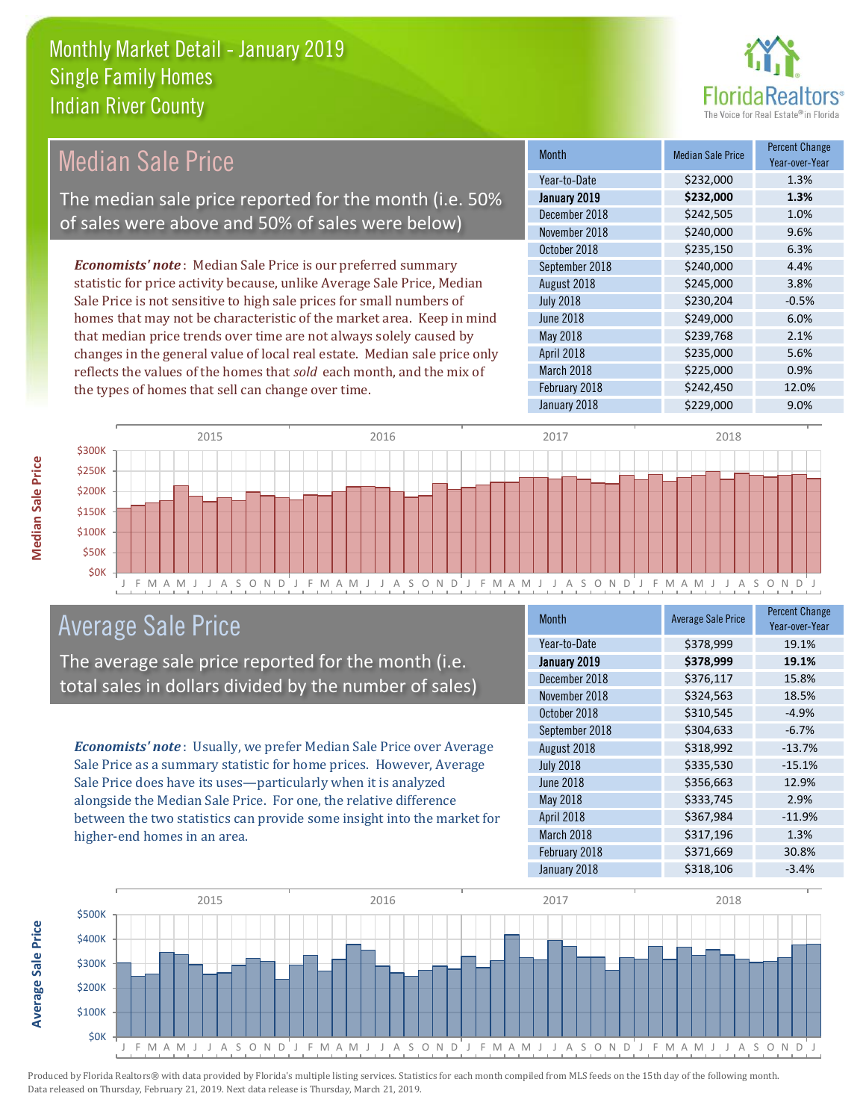

#### Month Median Sale Price Percent Change Year-over-Year January 2019 **\$232,000 1.3%** Year-to-Date \$232,000 1.3% June 2018 **\$249,000 6.0%** December 2018 **\$242,505** 1.0% November 2018 **\$240,000** 9.6% August 2018 **\$245,000** 3.8% July 2018 **\$230,204** -0.5% October 2018 \$235,150 6.3% September 2018 \$240,000 4.4% May 2018 **3239,768** 2.1% April 2018 **\$235,000** 5.6% March 2018 **\$225,000 0.9%** February 2018 **\$242,450** \$242,450 12.0% January 2018 \$229,000 9.0% *Economists' note* : Median Sale Price is our preferred summary statistic for price activity because, unlike Average Sale Price, Median Sale Price is not sensitive to high sale prices for small numbers of homes that may not be characteristic of the market area. Keep in mind that median price trends over time are not always solely caused by changes in the general value of local real estate. Median sale price only reflects the values of the homes that *sold* each month, and the mix of the types of homes that sell can change over time. Median Sale Price The median sale price reported for the month (i.e. 50% of sales were above and 50% of sales were below)



### Average Sale Price

The average sale price reported for the month (i.e. total sales in dollars divided by the number of sales)

*Economists' note* : Usually, we prefer Median Sale Price over Average Sale Price as a summary statistic for home prices. However, Average Sale Price does have its uses—particularly when it is analyzed alongside the Median Sale Price. For one, the relative difference between the two statistics can provide some insight into the market for higher-end homes in an area.

| <b>Month</b>     | <b>Average Sale Price</b> | <b>Percent Change</b><br>Year-over-Year |
|------------------|---------------------------|-----------------------------------------|
| Year-to-Date     | \$378,999                 | 19.1%                                   |
| January 2019     | \$378,999                 | 19.1%                                   |
| December 2018    | \$376,117                 | 15.8%                                   |
| November 2018    | \$324,563                 | 18.5%                                   |
| October 2018     | \$310,545                 | $-4.9%$                                 |
| September 2018   | \$304,633                 | $-6.7%$                                 |
| August 2018      | \$318,992                 | $-13.7%$                                |
| <b>July 2018</b> | \$335,530                 | $-15.1%$                                |
| <b>June 2018</b> | \$356,663                 | 12.9%                                   |
| May 2018         | \$333,745                 | 2.9%                                    |
| April 2018       | \$367,984                 | $-11.9%$                                |
| March 2018       | \$317,196                 | 1.3%                                    |
| February 2018    | \$371,669                 | 30.8%                                   |
| January 2018     | \$318,106                 | $-3.4%$                                 |



**Average Sale Price**

**Average Sale Price**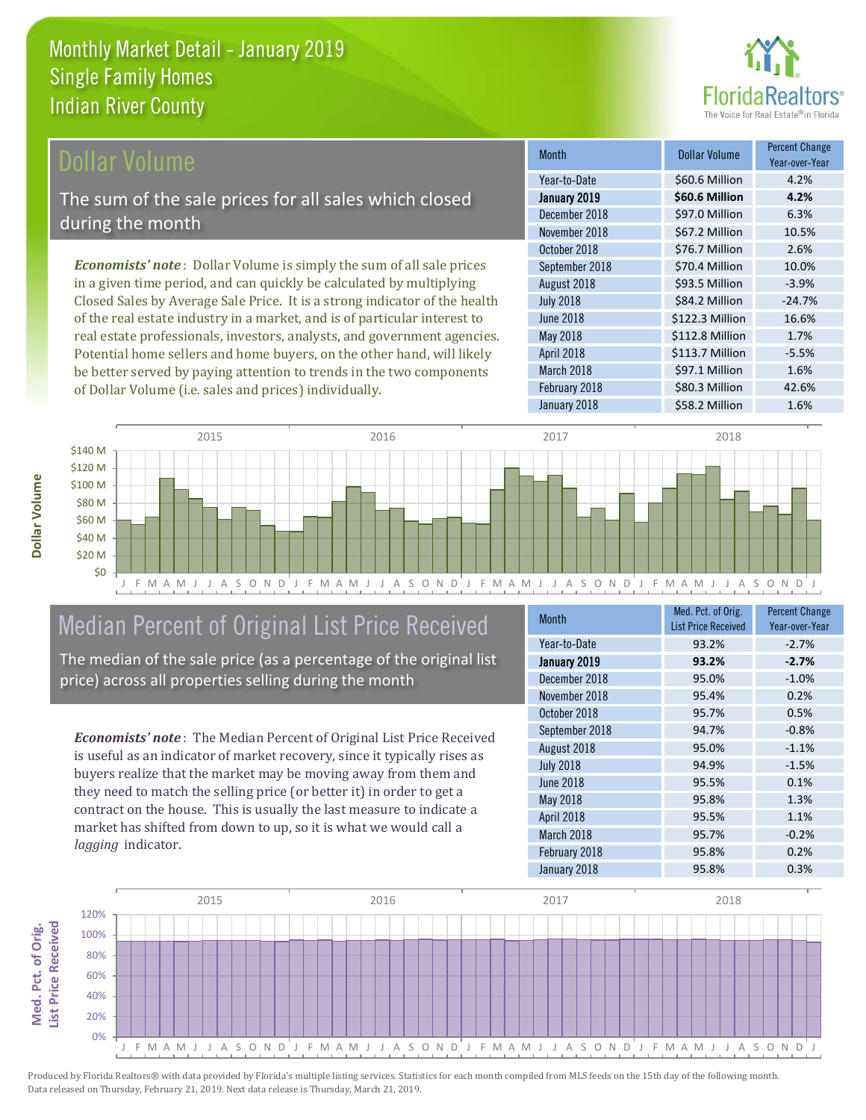

#### Dollar Volume

The sum of the sale prices for all sales which closed during the month

*Economists' note* : Dollar Volume is simply the sum of all sale prices in a given time period, and can quickly be calculated by multiplying Closed Sales by Average Sale Price. It is a strong indicator of the health of the real estate industry in a market, and is of particular interest to real estate professionals, investors, analysts, and government agencies. Potential home sellers and home buyers, on the other hand, will likely be better served by paying attention to trends in the two components of Dollar Volume (i.e. sales and prices) individually.

| <b>Month</b>     | <b>Dollar Volume</b> | <b>Percent Change</b><br>Year-over-Year |
|------------------|----------------------|-----------------------------------------|
| Year-to-Date     | \$60.6 Million       | 4.2%                                    |
| January 2019     | \$60.6 Million       | 4.2%                                    |
| December 2018    | \$97.0 Million       | 6.3%                                    |
| November 2018    | \$67.2 Million       | 10.5%                                   |
| October 2018     | \$76.7 Million       | 2.6%                                    |
| September 2018   | \$70.4 Million       | 10.0%                                   |
| August 2018      | \$93.5 Million       | $-3.9%$                                 |
| <b>July 2018</b> | \$84.2 Million       | $-24.7%$                                |
| <b>June 2018</b> | \$122.3 Million      | 16.6%                                   |
| May 2018         | \$112.8 Million      | 1.7%                                    |
| April 2018       | \$113.7 Million      | $-5.5%$                                 |
| March 2018       | \$97.1 Million       | 1.6%                                    |
| February 2018    | \$80.3 Million       | 42.6%                                   |
| January 2018     | \$58.2 Million       | 1.6%                                    |



## Median Percent of Original List Price Received

The median of the sale price (as a percentage of the original list price) across all properties selling during the month

*Economists' note* : The Median Percent of Original List Price Received is useful as an indicator of market recovery, since it typically rises as buyers realize that the market may be moving away from them and they need to match the selling price (or better it) in order to get a contract on the house. This is usually the last measure to indicate a market has shifted from down to up, so it is what we would call a *lagging* indicator.

| <b>Month</b>     | Med. Pct. of Orig.<br><b>List Price Received</b> | <b>Percent Change</b><br>Year-over-Year |
|------------------|--------------------------------------------------|-----------------------------------------|
| Year-to-Date     | 93.2%                                            | $-2.7%$                                 |
| January 2019     | 93.2%                                            | $-2.7%$                                 |
| December 2018    | 95.0%                                            | $-1.0%$                                 |
| November 2018    | 95.4%                                            | 0.2%                                    |
| October 2018     | 95.7%                                            | 0.5%                                    |
| September 2018   | 94.7%                                            | $-0.8%$                                 |
| August 2018      | 95.0%                                            | $-1.1%$                                 |
| <b>July 2018</b> | 94.9%                                            | $-1.5%$                                 |
| <b>June 2018</b> | 95.5%                                            | 0.1%                                    |
| May 2018         | 95.8%                                            | 1.3%                                    |
| April 2018       | 95.5%                                            | 1.1%                                    |
| March 2018       | 95.7%                                            | $-0.2%$                                 |
| February 2018    | 95.8%                                            | 0.2%                                    |
| January 2018     | 95.8%                                            | 0.3%                                    |

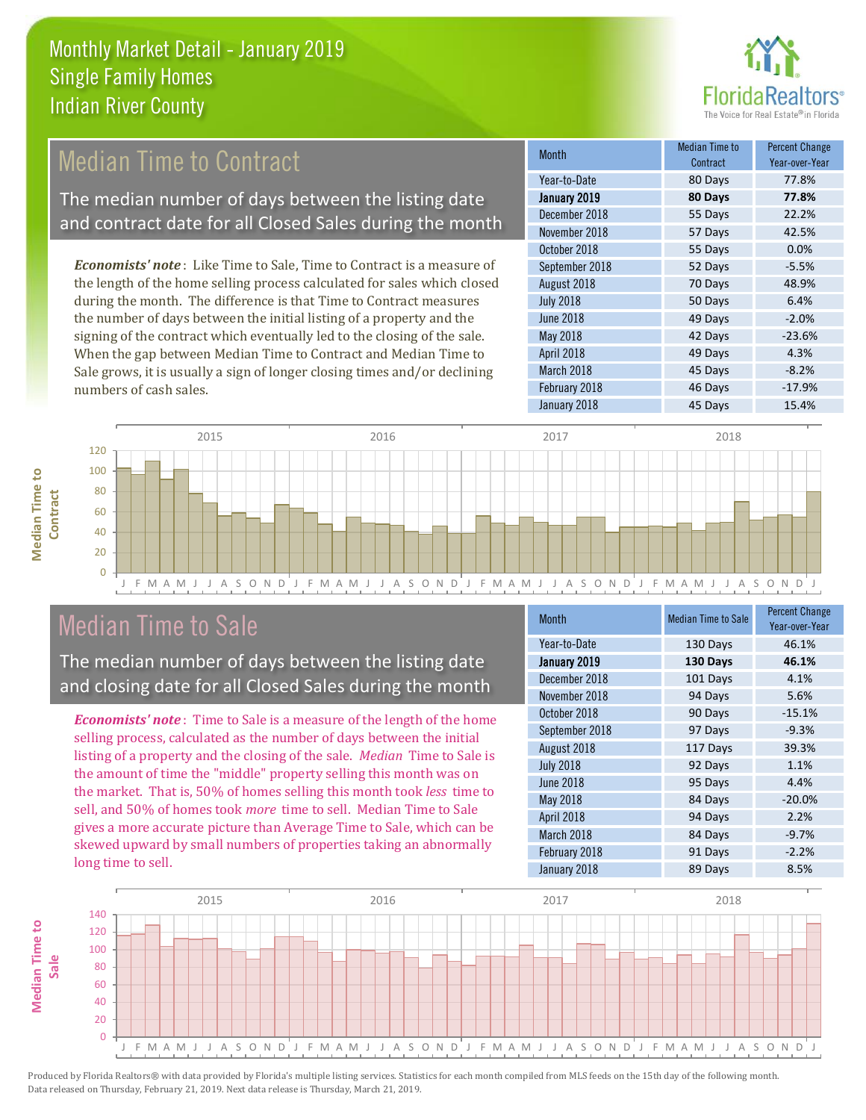

### **Median Time to Contract**

The median number of days between the listing date and contract date for all Closed Sales during the month

*Economists' note* : Like Time to Sale, Time to Contract is a measure of the length of the home selling process calculated for sales which closed during the month. The difference is that Time to Contract measures the number of days between the initial listing of a property and the signing of the contract which eventually led to the closing of the sale. When the gap between Median Time to Contract and Median Time to Sale grows, it is usually a sign of longer closing times and/or declining numbers of cash sales.

| <b>Month</b>     | Median Time to<br>Contract | <b>Percent Change</b><br>Year-over-Year |
|------------------|----------------------------|-----------------------------------------|
| Year-to-Date     | 80 Days                    | 77.8%                                   |
| January 2019     | 80 Days                    | 77.8%                                   |
| December 2018    | 55 Days                    | 22.2%                                   |
| November 2018    | 57 Days                    | 42.5%                                   |
| October 2018     | 55 Days                    | 0.0%                                    |
| September 2018   | 52 Days                    | $-5.5%$                                 |
| August 2018      | 70 Days                    | 48.9%                                   |
| <b>July 2018</b> | 50 Days                    | 6.4%                                    |
| <b>June 2018</b> | 49 Days                    | $-2.0%$                                 |
| May 2018         | 42 Days                    | $-23.6%$                                |
| April 2018       | 49 Days                    | 4.3%                                    |
| March 2018       | 45 Days                    | $-8.2%$                                 |
| February 2018    | 46 Days                    | $-17.9%$                                |
| January 2018     | 45 Days                    | 15.4%                                   |



### Median Time to Sale

**Median Time to** 

The median number of days between the listing date and closing date for all Closed Sales during the month

*Economists' note* : Time to Sale is a measure of the length of the home selling process, calculated as the number of days between the initial listing of a property and the closing of the sale. *Median* Time to Sale is the amount of time the "middle" property selling this month was on the market. That is, 50% of homes selling this month took *less* time to sell, and 50% of homes took *more* time to sell. Median Time to Sale gives a more accurate picture than Average Time to Sale, which can be skewed upward by small numbers of properties taking an abnormally long time to sell.

| <b>Month</b>      | <b>Median Time to Sale</b> | <b>Percent Change</b><br>Year-over-Year |
|-------------------|----------------------------|-----------------------------------------|
| Year-to-Date      | 130 Days                   | 46.1%                                   |
| January 2019      | 130 Days                   | 46.1%                                   |
| December 2018     | 101 Days                   | 4.1%                                    |
| November 2018     | 94 Days                    | 5.6%                                    |
| October 2018      | 90 Days                    | $-15.1%$                                |
| September 2018    | 97 Days                    | $-9.3%$                                 |
| August 2018       | 117 Days                   | 39.3%                                   |
| <b>July 2018</b>  | 92 Days                    | 1.1%                                    |
| <b>June 2018</b>  | 95 Days                    | 4.4%                                    |
| <b>May 2018</b>   | 84 Days                    | $-20.0%$                                |
| <b>April 2018</b> | 94 Days                    | 2.2%                                    |
| March 2018        | 84 Days                    | $-9.7%$                                 |
| February 2018     | 91 Days                    | $-2.2%$                                 |
| January 2018      | 89 Days                    | 8.5%                                    |

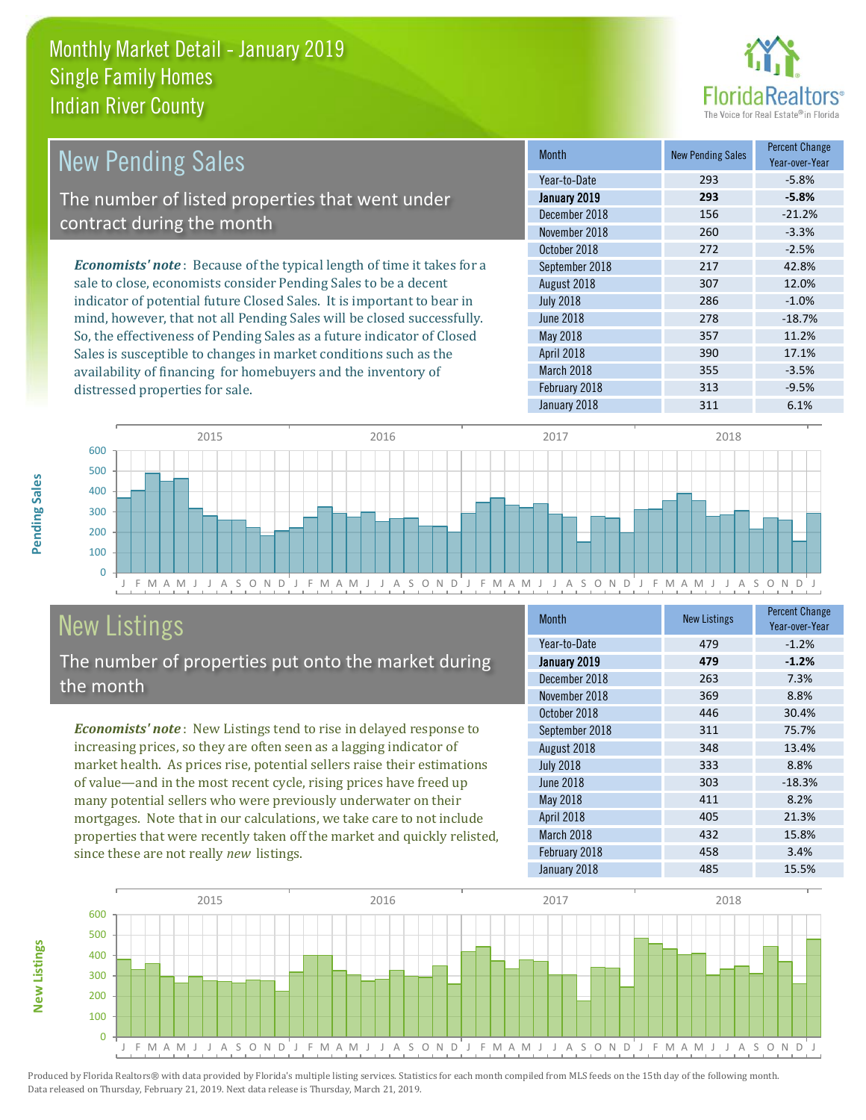

| <b>New Pending Sales</b>                                                       | <b>Month</b>      | <b>New Pending Sales</b> | <b>Percent Change</b><br>Year-over-Year |
|--------------------------------------------------------------------------------|-------------------|--------------------------|-----------------------------------------|
|                                                                                | Year-to-Date      | 293                      | $-5.8%$                                 |
| The number of listed properties that went under                                | January 2019      | 293                      | $-5.8%$                                 |
| contract during the month                                                      | December 2018     | 156                      | $-21.2%$                                |
|                                                                                | November 2018     | 260                      | $-3.3%$                                 |
|                                                                                | October 2018      | 272                      | $-2.5%$                                 |
| <b>Economists' note</b> : Because of the typical length of time it takes for a | September 2018    | 217                      | 42.8%                                   |
| sale to close, economists consider Pending Sales to be a decent                | August 2018       | 307                      | 12.0%                                   |
| indicator of potential future Closed Sales. It is important to bear in         | <b>July 2018</b>  | 286                      | $-1.0%$                                 |
| mind, however, that not all Pending Sales will be closed successfully.         | June 2018         | 278                      | $-18.7%$                                |
| So, the effectiveness of Pending Sales as a future indicator of Closed         | May 2018          | 357                      | 11.2%                                   |
| Sales is susceptible to changes in market conditions such as the               | <b>April 2018</b> | 390                      | 17.1%                                   |



# New Listings

**New Listings**

**Pending Sales**

Pending Sales

distressed properties for sale.

The number of properties put onto the market during the month

availability of financing for homebuyers and the inventory of

*Economists' note* : New Listings tend to rise in delayed response to increasing prices, so they are often seen as a lagging indicator of market health. As prices rise, potential sellers raise their estimations of value—and in the most recent cycle, rising prices have freed up many potential sellers who were previously underwater on their mortgages. Note that in our calculations, we take care to not include properties that were recently taken off the market and quickly relisted, since these are not really *new* listings.

| <b>Month</b>     | <b>New Listings</b> | <b>Percent Change</b><br>Year-over-Year |
|------------------|---------------------|-----------------------------------------|
| Year-to-Date     | 479                 | $-1.2%$                                 |
| January 2019     | 479                 | $-1.2%$                                 |
| December 2018    | 263                 | 7.3%                                    |
| November 2018    | 369                 | 8.8%                                    |
| October 2018     | 446                 | 30.4%                                   |
| September 2018   | 311                 | 75.7%                                   |
| August 2018      | 348                 | 13.4%                                   |
| <b>July 2018</b> | 333                 | 8.8%                                    |
| <b>June 2018</b> | 303                 | $-18.3%$                                |
| May 2018         | 411                 | 8.2%                                    |
| April 2018       | 405                 | 21.3%                                   |
| March 2018       | 432                 | 15.8%                                   |
| February 2018    | 458                 | 3.4%                                    |
| January 2018     | 485                 | 15.5%                                   |

March 2018 **355** -3.5% February 2018 313 313 -9.5%

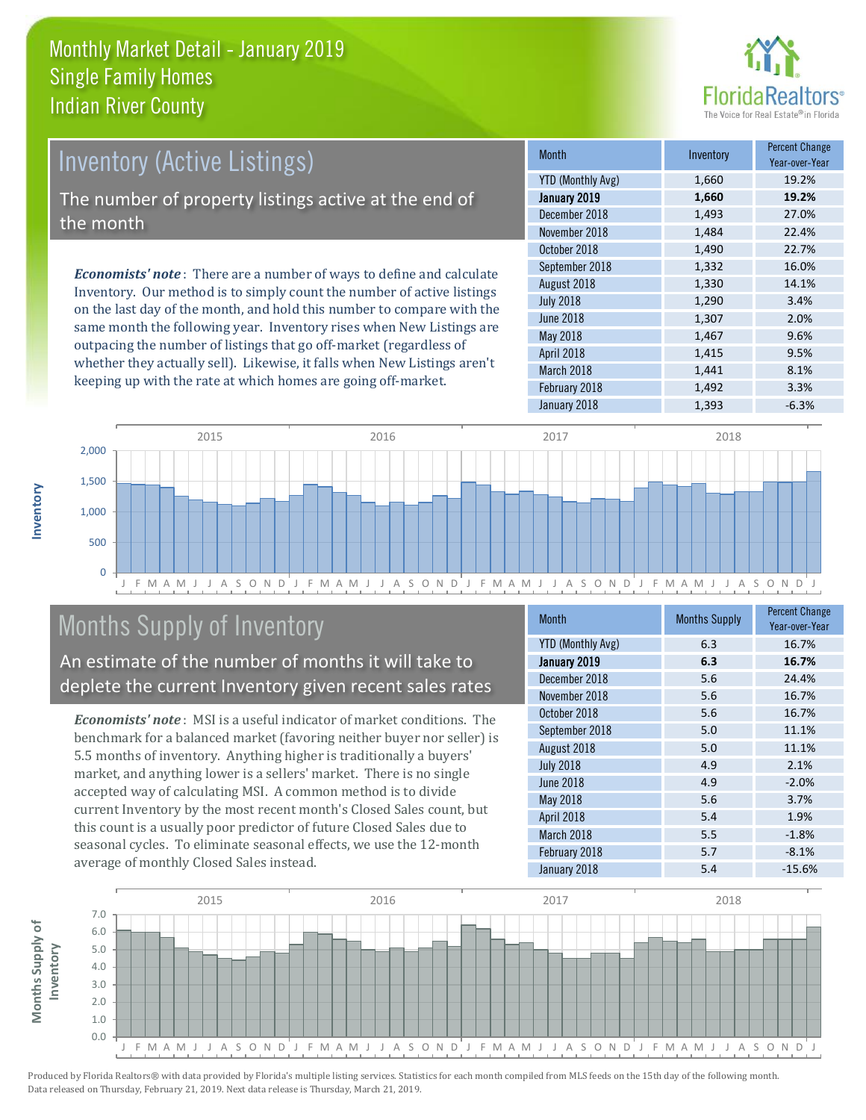

### Inventory (Active Listings)

The number of property listings active at the end of the month

*Economists' note* : There are a number of ways to define and calculate Inventory. Our method is to simply count the number of active listings on the last day of the month, and hold this number to compare with the same month the following year. Inventory rises when New Listings are outpacing the number of listings that go off-market (regardless of whether they actually sell). Likewise, it falls when New Listings aren't keeping up with the rate at which homes are going off-market.

| <b>Month</b>             | Inventory | <b>Percent Change</b><br>Year-over-Year |
|--------------------------|-----------|-----------------------------------------|
| <b>YTD (Monthly Avg)</b> | 1,660     | 19.2%                                   |
| January 2019             | 1,660     | 19.2%                                   |
| December 2018            | 1,493     | 27.0%                                   |
| November 2018            | 1,484     | 22.4%                                   |
| October 2018             | 1,490     | 22.7%                                   |
| September 2018           | 1,332     | 16.0%                                   |
| August 2018              | 1,330     | 14.1%                                   |
| <b>July 2018</b>         | 1,290     | 3.4%                                    |
| <b>June 2018</b>         | 1,307     | 2.0%                                    |
| <b>May 2018</b>          | 1,467     | 9.6%                                    |
| April 2018               | 1,415     | 9.5%                                    |
| March 2018               | 1,441     | 8.1%                                    |
| February 2018            | 1,492     | 3.3%                                    |
| January 2018             | 1,393     | $-6.3%$                                 |



### Months Supply of Inventory

An estimate of the number of months it will take to deplete the current Inventory given recent sales rates

*Economists' note* : MSI is a useful indicator of market conditions. The benchmark for a balanced market (favoring neither buyer nor seller) is 5.5 months of inventory. Anything higher is traditionally a buyers' market, and anything lower is a sellers' market. There is no single accepted way of calculating MSI. A common method is to divide current Inventory by the most recent month's Closed Sales count, but this count is a usually poor predictor of future Closed Sales due to seasonal cycles. To eliminate seasonal effects, we use the 12-month average of monthly Closed Sales instead.

| Month                    | <b>Months Supply</b> | <b>Percent Change</b><br>Year-over-Year |
|--------------------------|----------------------|-----------------------------------------|
| <b>YTD (Monthly Avg)</b> | 6.3                  | 16.7%                                   |
| January 2019             | 6.3                  | 16.7%                                   |
| December 2018            | 5.6                  | 24.4%                                   |
| November 2018            | 5.6                  | 16.7%                                   |
| October 2018             | 5.6                  | 16.7%                                   |
| September 2018           | 5.0                  | 11.1%                                   |
| August 2018              | 5.0                  | 11.1%                                   |
| <b>July 2018</b>         | 4.9                  | 2.1%                                    |
| <b>June 2018</b>         | 4.9                  | $-2.0%$                                 |
| May 2018                 | 5.6                  | 3.7%                                    |
| April 2018               | 5.4                  | 1.9%                                    |
| March 2018               | 5.5                  | $-1.8%$                                 |
| February 2018            | 5.7                  | $-8.1%$                                 |
| January 2018             | 5.4                  | $-15.6%$                                |

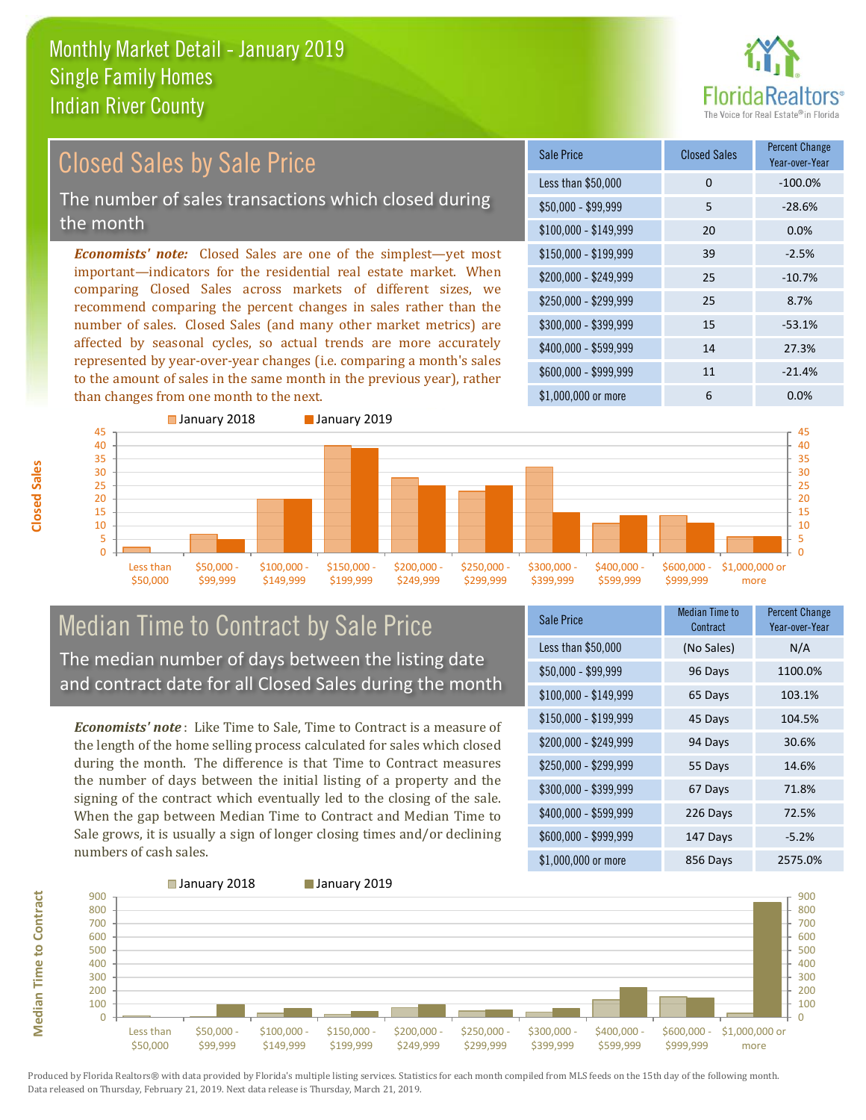

#### *Economists' note:* Closed Sales are one of the simplest—yet most important—indicators for the residential real estate market. When comparing Closed Sales across markets of different sizes, we Closed Sales by Sale Price The number of sales transactions which closed during the month

recommend comparing the percent changes in sales rather than the number of sales. Closed Sales (and many other market metrics) are affected by seasonal cycles, so actual trends are more accurately represented by year-over-year changes (i.e. comparing a month's sales to the amount of sales in the same month in the previous year), rather than changes from one month to the next.

| Sale Price            | <b>Closed Sales</b> | <b>Percent Change</b><br>Year-over-Year |
|-----------------------|---------------------|-----------------------------------------|
| Less than \$50,000    | 0                   | $-100.0%$                               |
| $$50,000 - $99,999$   | 5                   | $-28.6%$                                |
| $$100,000 - $149,999$ | 20                  | 0.0%                                    |
| $$150,000 - $199,999$ | 39                  | $-2.5%$                                 |
| \$200,000 - \$249,999 | 25                  | $-10.7%$                                |
| \$250,000 - \$299,999 | 25                  | 8.7%                                    |
| \$300,000 - \$399,999 | 15                  | $-53.1%$                                |
| \$400,000 - \$599,999 | 14                  | 27.3%                                   |
| \$600,000 - \$999,999 | 11                  | $-21.4%$                                |
| \$1,000,000 or more   | 6                   | 0.0%                                    |



#### Median Time to Contract by Sale Price The median number of days between the listing date and contract date for all Closed Sales during the month

*Economists' note* : Like Time to Sale, Time to Contract is a measure of the length of the home selling process calculated for sales which closed during the month. The difference is that Time to Contract measures the number of days between the initial listing of a property and the signing of the contract which eventually led to the closing of the sale. When the gap between Median Time to Contract and Median Time to Sale grows, it is usually a sign of longer closing times and/or declining numbers of cash sales.

| <b>Sale Price</b>     | Median Time to<br>Contract | Percent Change<br>Year-over-Year |
|-----------------------|----------------------------|----------------------------------|
| Less than \$50,000    | (No Sales)                 | N/A                              |
| $$50,000 - $99,999$   | 96 Days                    | 1100.0%                          |
| $$100,000 - $149,999$ | 65 Days                    | 103.1%                           |
| $$150,000 - $199,999$ | 45 Days                    | 104.5%                           |
| \$200,000 - \$249,999 | 94 Days                    | 30.6%                            |
| \$250,000 - \$299,999 | 55 Days                    | 14.6%                            |
| \$300,000 - \$399,999 | 67 Days                    | 71.8%                            |
| \$400,000 - \$599,999 | 226 Days                   | 72.5%                            |
| \$600,000 - \$999,999 | 147 Days                   | $-5.2%$                          |
| \$1,000,000 or more   | 856 Days                   | 2575.0%                          |



Produced by Florida Realtors® with data provided by Florida's multiple listing services. Statistics for each month compiled from MLS feeds on the 15th day of the following month. Data released on Thursday, February 21, 2019. Next data release is Thursday, March 21, 2019.

**Median Time to Contract**

**Median Time to Contract**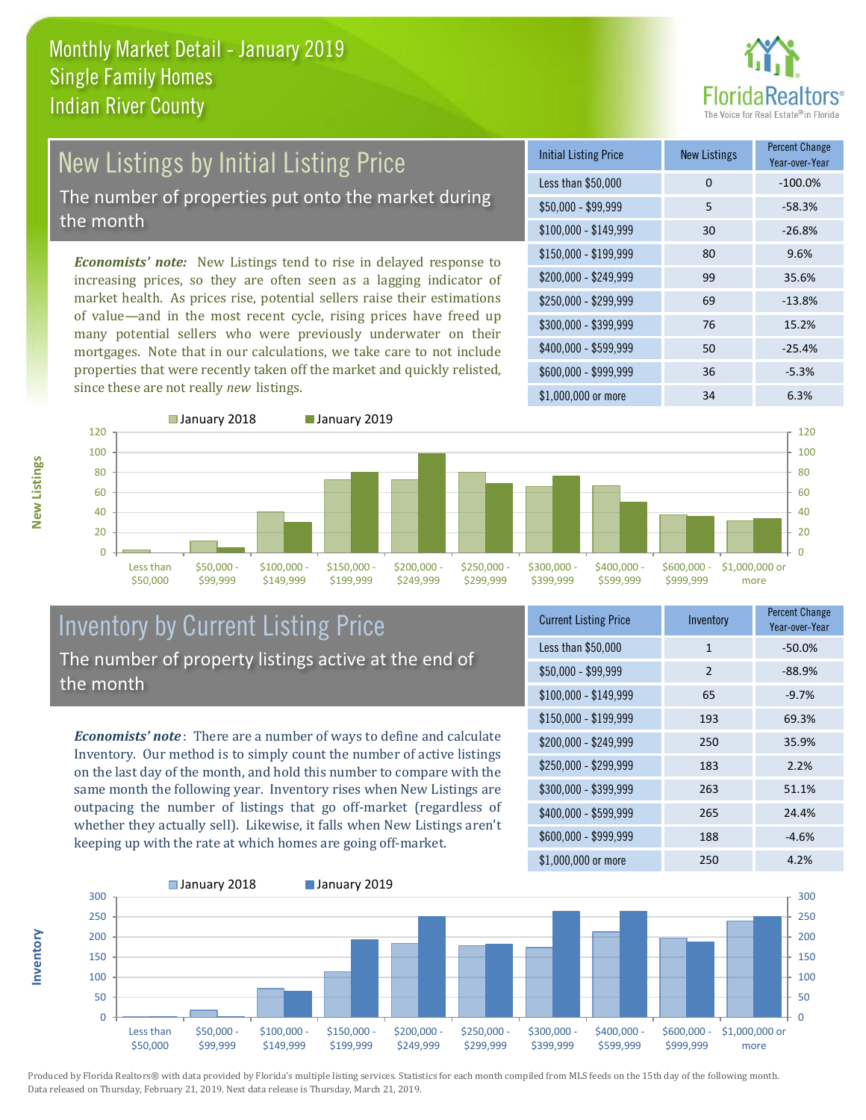

### New Listings by Initial Listing Price The number of properties put onto the market during the month

*Economists' note:* New Listings tend to rise in delayed response to increasing prices, so they are often seen as a lagging indicator of market health. As prices rise, potential sellers raise their estimations of value—and in the most recent cycle, rising prices have freed up many potential sellers who were previously underwater on their mortgages. Note that in our calculations, we take care to not include properties that were recently taken off the market and quickly relisted, since these are not really *new* listings.

| <b>Initial Listing Price</b> | <b>New Listings</b> | <b>Percent Change</b><br>Year-over-Year |
|------------------------------|---------------------|-----------------------------------------|
| Less than \$50,000           | 0                   | $-100.0%$                               |
| $$50,000 - $99,999$          | 5                   | $-58.3%$                                |
| $$100,000 - $149,999$        | 30                  | $-26.8%$                                |
| $$150,000 - $199,999$        | 80                  | 9.6%                                    |
| \$200,000 - \$249,999        | 99                  | 35.6%                                   |
| $$250,000 - $299,999$        | 69                  | $-13.8%$                                |
| \$300,000 - \$399,999        | 76                  | 15.2%                                   |
| \$400,000 - \$599,999        | 50                  | $-25.4%$                                |
| \$600,000 - \$999,999        | 36                  | $-5.3%$                                 |
| \$1,000,000 or more          | 34                  | 6.3%                                    |





#### Inventory by Current Listing Price The number of property listings active at the end of the month

*Economists' note* : There are a number of ways to define and calculate Inventory. Our method is to simply count the number of active listings on the last day of the month, and hold this number to compare with the same month the following year. Inventory rises when New Listings are outpacing the number of listings that go off-market (regardless of whether they actually sell). Likewise, it falls when New Listings aren't keeping up with the rate at which homes are going off-market.

| <b>Current Listing Price</b> | Inventory    | <b>Percent Change</b><br>Year-over-Year |
|------------------------------|--------------|-----------------------------------------|
| Less than \$50,000           | $\mathbf{1}$ | $-50.0%$                                |
| $$50,000 - $99,999$          | 2            | $-88.9%$                                |
| $$100,000 - $149,999$        | 65           | $-9.7%$                                 |
| $$150,000 - $199,999$        | 193          | 69.3%                                   |
| \$200,000 - \$249,999        | 250          | 35.9%                                   |
| \$250,000 - \$299,999        | 183          | 2.2%                                    |
| \$300,000 - \$399,999        | 263          | 51.1%                                   |
| \$400,000 - \$599,999        | 265          | 24.4%                                   |
| \$600,000 - \$999,999        | 188          | $-4.6%$                                 |
| \$1,000,000 or more          | 250          | 4.2%                                    |



**New Listings**

**Inventory**